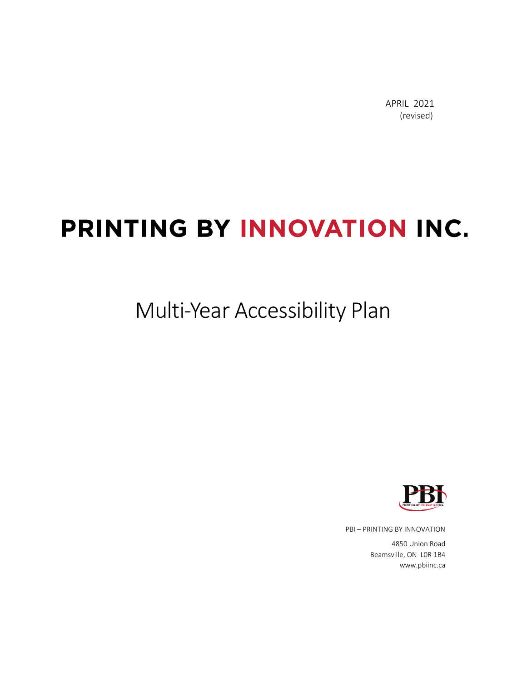APRIL 2021 (revised)

# PRINTING BY INNOVATION INC.

### Multi-Year Accessibility Plan



PBI – PRINTING BY INNOVATION

4850 Union Road Beamsville, ON L0R 1B4 www.pbiinc.ca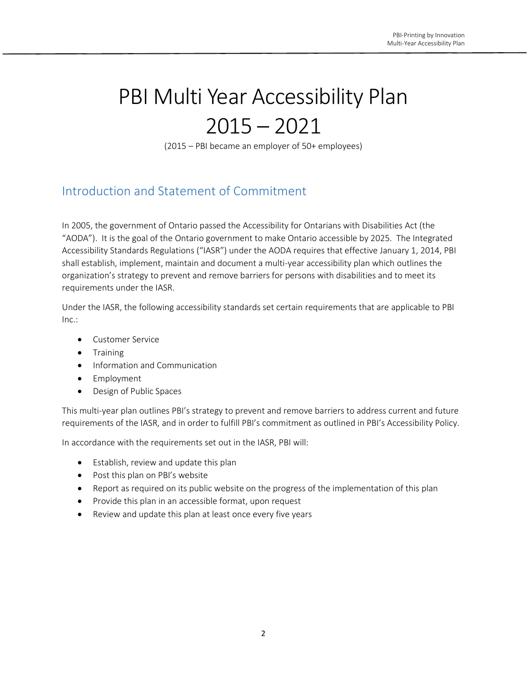## PBI Multi Year Accessibility Plan  $2015 - 2021$

(2015 – PBI became an employer of 50+ employees)

#### Introduction and Statement of Commitment

In 2005, the government of Ontario passed the Accessibility for Ontarians with Disabilities Act (the "AODA"). It is the goal of the Ontario government to make Ontario accessible by 2025. The Integrated Accessibility Standards Regulations ("IASR") under the AODA requires that effective January 1, 2014, PBI shall establish, implement, maintain and document a multi-year accessibility plan which outlines the organization's strategy to prevent and remove barriers for persons with disabilities and to meet its requirements under the IASR.

Under the IASR, the following accessibility standards set certain requirements that are applicable to PBI Inc.:

- Customer Service
- Training
- Information and Communication
- Employment
- Design of Public Spaces

This multi-year plan outlines PBI's strategy to prevent and remove barriers to address current and future requirements of the IASR, and in order to fulfill PBI's commitment as outlined in PBI's Accessibility Policy.

In accordance with the requirements set out in the IASR, PBI will:

- Establish, review and update this plan
- Post this plan on PBI's website
- Report as required on its public website on the progress of the implementation of this plan
- Provide this plan in an accessible format, upon request
- Review and update this plan at least once every five years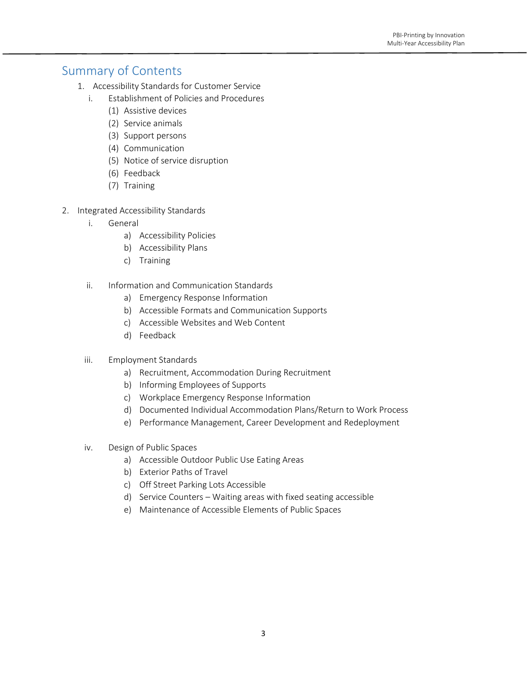#### Summary of Contents

- 1. Accessibility Standards for Customer Service
	- i. Establishment of Policies and Procedures
		- (1) Assistive devices
		- (2) Service animals
		- (3) Support persons
		- (4) Communication
		- (5) Notice of service disruption
		- (6) Feedback
		- (7) Training
- 2. Integrated Accessibility Standards
	- i. General
		- a) Accessibility Policies
		- b) Accessibility Plans
		- c) Training
	- ii. Information and Communication Standards
		- a) Emergency Response Information
		- b) Accessible Formats and Communication Supports
		- c) Accessible Websites and Web Content
		- d) Feedback
	- iii. Employment Standards
		- a) Recruitment, Accommodation During Recruitment
		- b) Informing Employees of Supports
		- c) Workplace Emergency Response Information
		- d) Documented Individual Accommodation Plans/Return to Work Process
		- e) Performance Management, Career Development and Redeployment
	- iv. Design of Public Spaces
		- a) Accessible Outdoor Public Use Eating Areas
		- b) Exterior Paths of Travel
		- c) Off Street Parking Lots Accessible
		- d) Service Counters Waiting areas with fixed seating accessible
		- e) Maintenance of Accessible Elements of Public Spaces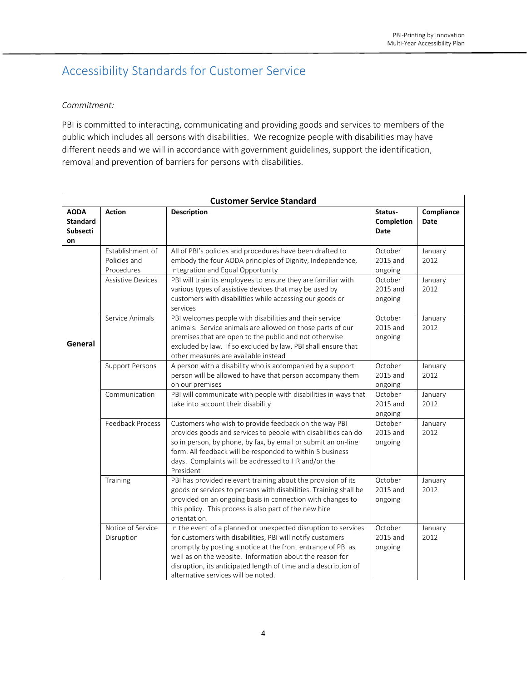### Accessibility Standards for Customer Service

#### *Commitment:*

PBI is committed to interacting, communicating and providing goods and services to members of the public which includes all persons with disabilities. We recognize people with disabilities may have different needs and we will in accordance with government guidelines, support the identification, removal and prevention of barriers for persons with disabilities.

| <b>Customer Service Standard</b>                        |                                                |                                                                                                                                                                                                                                                                                                                                                                    |                                |                    |
|---------------------------------------------------------|------------------------------------------------|--------------------------------------------------------------------------------------------------------------------------------------------------------------------------------------------------------------------------------------------------------------------------------------------------------------------------------------------------------------------|--------------------------------|--------------------|
| <b>AODA</b><br><b>Standard</b><br><b>Subsecti</b><br>on | <b>Action</b>                                  | Description                                                                                                                                                                                                                                                                                                                                                        | Status-<br>Completion<br>Date  | Compliance<br>Date |
|                                                         | Establishment of<br>Policies and<br>Procedures | All of PBI's policies and procedures have been drafted to<br>embody the four AODA principles of Dignity, Independence,<br>Integration and Equal Opportunity                                                                                                                                                                                                        | October<br>2015 and<br>ongoing | January<br>2012    |
|                                                         | <b>Assistive Devices</b>                       | PBI will train its employees to ensure they are familiar with<br>various types of assistive devices that may be used by<br>customers with disabilities while accessing our goods or<br>services                                                                                                                                                                    | October<br>2015 and<br>ongoing | January<br>2012    |
| General                                                 | Service Animals                                | PBI welcomes people with disabilities and their service<br>animals. Service animals are allowed on those parts of our<br>premises that are open to the public and not otherwise<br>excluded by law. If so excluded by law, PBI shall ensure that<br>other measures are available instead                                                                           | October<br>2015 and<br>ongoing | January<br>2012    |
|                                                         | <b>Support Persons</b>                         | A person with a disability who is accompanied by a support<br>person will be allowed to have that person accompany them<br>on our premises                                                                                                                                                                                                                         | October<br>2015 and<br>ongoing | January<br>2012    |
|                                                         | Communication                                  | PBI will communicate with people with disabilities in ways that<br>take into account their disability                                                                                                                                                                                                                                                              | October<br>2015 and<br>ongoing | January<br>2012    |
|                                                         | Feedback Process                               | Customers who wish to provide feedback on the way PBI<br>provides goods and services to people with disabilities can do<br>so in person, by phone, by fax, by email or submit an on-line<br>form. All feedback will be responded to within 5 business<br>days. Complaints will be addressed to HR and/or the<br>President                                          | October<br>2015 and<br>ongoing | January<br>2012    |
|                                                         | Training                                       | PBI has provided relevant training about the provision of its<br>goods or services to persons with disabilities. Training shall be<br>provided on an ongoing basis in connection with changes to<br>this policy. This process is also part of the new hire<br>orientation.                                                                                         | October<br>2015 and<br>ongoing | January<br>2012    |
|                                                         | Notice of Service<br>Disruption                | In the event of a planned or unexpected disruption to services<br>for customers with disabilities, PBI will notify customers<br>promptly by posting a notice at the front entrance of PBI as<br>well as on the website. Information about the reason for<br>disruption, its anticipated length of time and a description of<br>alternative services will be noted. | October<br>2015 and<br>ongoing | January<br>2012    |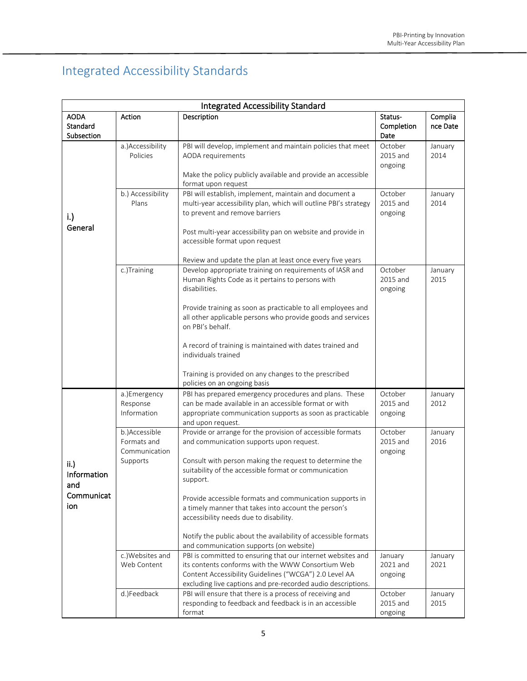### Integrated Accessibility Standards

| <b>Integrated Accessibility Standard</b>                   |                                                           |                                                                                                                                                                                                                                                                                                                                                                                                                                                                                                                   |                                |                     |
|------------------------------------------------------------|-----------------------------------------------------------|-------------------------------------------------------------------------------------------------------------------------------------------------------------------------------------------------------------------------------------------------------------------------------------------------------------------------------------------------------------------------------------------------------------------------------------------------------------------------------------------------------------------|--------------------------------|---------------------|
| <b>AODA</b><br>Standard<br>Subsection                      | Action                                                    | Description                                                                                                                                                                                                                                                                                                                                                                                                                                                                                                       | Status-<br>Completion<br>Date  | Complia<br>nce Date |
|                                                            | a.) Accessibility<br>Policies                             | PBI will develop, implement and maintain policies that meet<br>AODA requirements<br>Make the policy publicly available and provide an accessible<br>format upon request                                                                                                                                                                                                                                                                                                                                           | October<br>2015 and<br>ongoing | January<br>2014     |
| i.)<br>General                                             | b.) Accessibility<br>Plans                                | PBI will establish, implement, maintain and document a<br>multi-year accessibility plan, which will outline PBI's strategy<br>to prevent and remove barriers<br>Post multi-year accessibility pan on website and provide in<br>accessible format upon request<br>Review and update the plan at least once every five years                                                                                                                                                                                        | October<br>2015 and<br>ongoing | January<br>2014     |
|                                                            | c.)Training                                               | Develop appropriate training on requirements of IASR and<br>Human Rights Code as it pertains to persons with<br>disabilities.<br>Provide training as soon as practicable to all employees and<br>all other applicable persons who provide goods and services<br>on PBI's behalf.<br>A record of training is maintained with dates trained and<br>individuals trained<br>Training is provided on any changes to the prescribed<br>policies on an ongoing basis                                                     | October<br>2015 and<br>ongoing | January<br>2015     |
|                                                            | a.)Emergency<br>Response<br>Information                   | PBI has prepared emergency procedures and plans. These<br>can be made available in an accessible format or with<br>appropriate communication supports as soon as practicable<br>and upon request.                                                                                                                                                                                                                                                                                                                 | October<br>2015 and<br>ongoing | January<br>2012     |
| $\mathsf{ii}$ .<br>Information<br>and<br>Communicat<br>ion | b.)Accessible<br>Formats and<br>Communication<br>Supports | Provide or arrange for the provision of accessible formats<br>and communication supports upon request.<br>Consult with person making the request to determine the<br>suitability of the accessible format or communication<br>support.<br>Provide accessible formats and communication supports in<br>a timely manner that takes into account the person's<br>accessibility needs due to disability.<br>Notify the public about the availability of accessible formats<br>and communication supports (on website) | October<br>2015 and<br>ongoing | January<br>2016     |
|                                                            | c.)Websites and<br>Web Content                            | PBI is committed to ensuring that our internet websites and<br>its contents conforms with the WWW Consortium Web<br>Content Accessibility Guidelines ("WCGA") 2.0 Level AA<br>excluding live captions and pre-recorded audio descriptions.                                                                                                                                                                                                                                                                        | January<br>2021 and<br>ongoing | January<br>2021     |
|                                                            | d.)Feedback                                               | PBI will ensure that there is a process of receiving and<br>responding to feedback and feedback is in an accessible<br>format                                                                                                                                                                                                                                                                                                                                                                                     | October<br>2015 and<br>ongoing | January<br>2015     |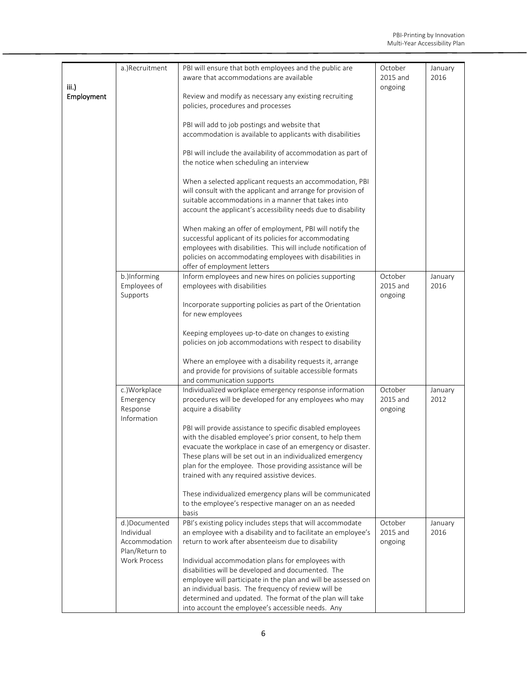| iii.)      | a.)Recruitment                                                 | PBI will ensure that both employees and the public are<br>aware that accommodations are available                                                                                                                                                                                                                                                                | October<br>2015 and<br>ongoing | January<br>2016 |
|------------|----------------------------------------------------------------|------------------------------------------------------------------------------------------------------------------------------------------------------------------------------------------------------------------------------------------------------------------------------------------------------------------------------------------------------------------|--------------------------------|-----------------|
| Employment |                                                                | Review and modify as necessary any existing recruiting<br>policies, procedures and processes                                                                                                                                                                                                                                                                     |                                |                 |
|            |                                                                | PBI will add to job postings and website that<br>accommodation is available to applicants with disabilities                                                                                                                                                                                                                                                      |                                |                 |
|            |                                                                | PBI will include the availability of accommodation as part of<br>the notice when scheduling an interview                                                                                                                                                                                                                                                         |                                |                 |
|            |                                                                | When a selected applicant requests an accommodation, PBI<br>will consult with the applicant and arrange for provision of<br>suitable accommodations in a manner that takes into<br>account the applicant's accessibility needs due to disability                                                                                                                 |                                |                 |
|            |                                                                | When making an offer of employment, PBI will notify the<br>successful applicant of its policies for accommodating<br>employees with disabilities. This will include notification of<br>policies on accommodating employees with disabilities in<br>offer of employment letters                                                                                   |                                |                 |
|            | b.)Informing<br>Employees of<br>Supports                       | Inform employees and new hires on policies supporting<br>employees with disabilities                                                                                                                                                                                                                                                                             | October<br>2015 and<br>ongoing | January<br>2016 |
|            |                                                                | Incorporate supporting policies as part of the Orientation<br>for new employees                                                                                                                                                                                                                                                                                  |                                |                 |
|            |                                                                | Keeping employees up-to-date on changes to existing<br>policies on job accommodations with respect to disability                                                                                                                                                                                                                                                 |                                |                 |
|            |                                                                | Where an employee with a disability requests it, arrange<br>and provide for provisions of suitable accessible formats<br>and communication supports                                                                                                                                                                                                              |                                |                 |
|            | c.)Workplace<br>Emergency<br>Response<br>Information           | Individualized workplace emergency response information<br>procedures will be developed for any employees who may<br>acquire a disability                                                                                                                                                                                                                        | October<br>2015 and<br>ongoing | January<br>2012 |
|            |                                                                | PBI will provide assistance to specific disabled employees<br>with the disabled employee's prior consent, to help them<br>evacuate the workplace in case of an emergency or disaster.<br>These plans will be set out in an individualized emergency<br>plan for the employee. Those providing assistance will be<br>trained with any required assistive devices. |                                |                 |
|            |                                                                | These individualized emergency plans will be communicated<br>to the employee's respective manager on an as needed<br>basis                                                                                                                                                                                                                                       |                                |                 |
|            | d.)Documented<br>Individual<br>Accommodation<br>Plan/Return to | PBI's existing policy includes steps that will accommodate<br>an employee with a disability and to facilitate an employee's<br>return to work after absenteeism due to disability                                                                                                                                                                                | October<br>2015 and<br>ongoing | January<br>2016 |
|            | <b>Work Process</b>                                            | Individual accommodation plans for employees with<br>disabilities will be developed and documented. The<br>employee will participate in the plan and will be assessed on<br>an individual basis. The frequency of review will be<br>determined and updated. The format of the plan will take<br>into account the employee's accessible needs. Any                |                                |                 |